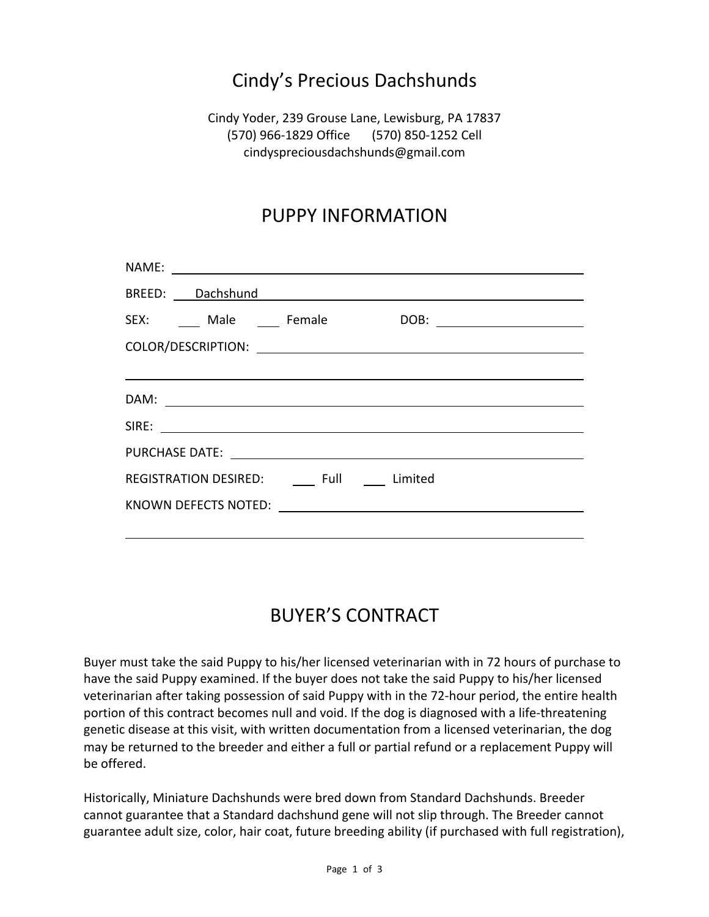## Cindy's Precious Dachshunds

Cindy Yoder, 239 Grouse Lane, Lewisburg, PA 17837 (570) 966-1829 Office (570) 850-1252 Cell cindyspreciousdachshunds@gmail.com

## PUPPY INFORMATION

| SEX: Male Female                                         |
|----------------------------------------------------------|
|                                                          |
|                                                          |
|                                                          |
|                                                          |
| PURCHASE DATE: <u>_____________________________</u>      |
| REGISTRATION DESIRED: Full Limited                       |
| KNOWN DEFECTS NOTED: <u>____________________________</u> |
|                                                          |

## BUYER'S CONTRACT

Buyer must take the said Puppy to his/her licensed veterinarian with in 72 hours of purchase to have the said Puppy examined. If the buyer does not take the said Puppy to his/her licensed veterinarian after taking possession of said Puppy with in the 72-hour period, the entire health portion of this contract becomes null and void. If the dog is diagnosed with a life-threatening genetic disease at this visit, with written documentation from a licensed veterinarian, the dog may be returned to the breeder and either a full or partial refund or a replacement Puppy will be offered.

Historically, Miniature Dachshunds were bred down from Standard Dachshunds. Breeder cannot guarantee that a Standard dachshund gene will not slip through. The Breeder cannot guarantee adult size, color, hair coat, future breeding ability (if purchased with full registration),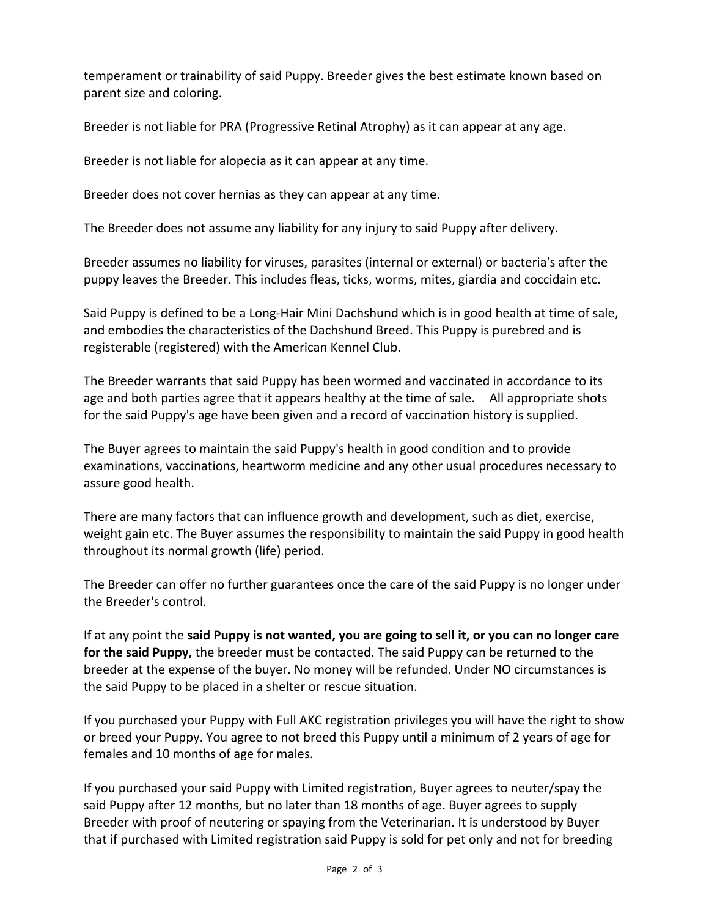temperament or trainability of said Puppy. Breeder gives the best estimate known based on parent size and coloring.

Breeder is not liable for PRA (Progressive Retinal Atrophy) as it can appear at any age.

Breeder is not liable for alopecia as it can appear at any time.

Breeder does not cover hernias as they can appear at any time.

The Breeder does not assume any liability for any injury to said Puppy after delivery.

Breeder assumes no liability for viruses, parasites (internal or external) or bacteria's after the puppy leaves the Breeder. This includes fleas, ticks, worms, mites, giardia and coccidain etc.

Said Puppy is defined to be a Long-Hair Mini Dachshund which is in good health at time of sale, and embodies the characteristics of the Dachshund Breed. This Puppy is purebred and is registerable (registered) with the American Kennel Club.

The Breeder warrants that said Puppy has been wormed and vaccinated in accordance to its age and both parties agree that it appears healthy at the time of sale. All appropriate shots for the said Puppy's age have been given and a record of vaccination history is supplied.

The Buyer agrees to maintain the said Puppy's health in good condition and to provide examinations, vaccinations, heartworm medicine and any other usual procedures necessary to assure good health.

There are many factors that can influence growth and development, such as diet, exercise, weight gain etc. The Buyer assumes the responsibility to maintain the said Puppy in good health throughout its normal growth (life) period.

The Breeder can offer no further guarantees once the care of the said Puppy is no longer under the Breeder's control.

If at any point the **said Puppy is not wanted, you are going to sell it, or you can no longer care for the said Puppy,** the breeder must be contacted. The said Puppy can be returned to the breeder at the expense of the buyer. No money will be refunded. Under NO circumstances is the said Puppy to be placed in a shelter or rescue situation.

If you purchased your Puppy with Full AKC registration privileges you will have the right to show or breed your Puppy. You agree to not breed this Puppy until a minimum of 2 years of age for females and 10 months of age for males.

If you purchased your said Puppy with Limited registration, Buyer agrees to neuter/spay the said Puppy after 12 months, but no later than 18 months of age. Buyer agrees to supply Breeder with proof of neutering or spaying from the Veterinarian. It is understood by Buyer that if purchased with Limited registration said Puppy is sold for pet only and not for breeding